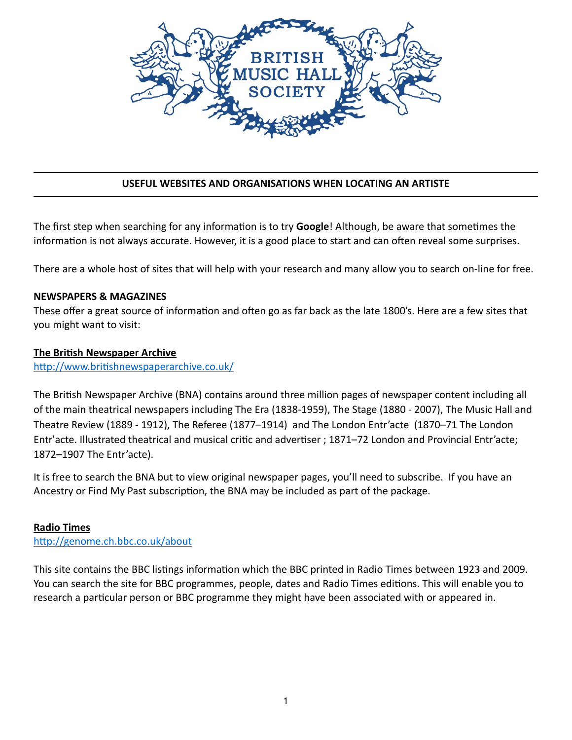

# **USEFUL WEBSITES AND ORGANISATIONS WHEN LOCATING AN ARTISTE**

The first step when searching for any information is to try **Google**! Although, be aware that sometimes the information is not always accurate. However, it is a good place to start and can often reveal some surprises.

There are a whole host of sites that will help with your research and many allow you to search on-line for free.

#### **NEWSPAPERS & MAGAZINES**

These offer a great source of information and often go as far back as the late 1800's. Here are a few sites that you might want to visit:

#### **The British Newspaper Archive**

http://www.britishnewspaperarchive.co.uk/

The British Newspaper Archive (BNA) contains around three million pages of newspaper content including all of the main theatrical newspapers including The Era (1838-1959), The Stage (1880 - 2007), The Music Hall and Theatre Review (1889 - 1912), The Referee (1877–1914) and The London Entr'acte (1870–71 The London Entr'acte. Illustrated theatrical and musical critic and advertiser ; 1871–72 London and Provincial Entr'acte; 1872–1907 The Entr'acte).

It is free to search the BNA but to view original newspaper pages, you'll need to subscribe. If you have an Ancestry or Find My Past subscription, the BNA may be included as part of the package.

## **Radio Times**

http://genome.ch.bbc.co.uk/about

This site contains the BBC listings information which the BBC printed in Radio Times between 1923 and 2009. You can search the site for BBC programmes, people, dates and Radio Times editions. This will enable you to research a particular person or BBC programme they might have been associated with or appeared in.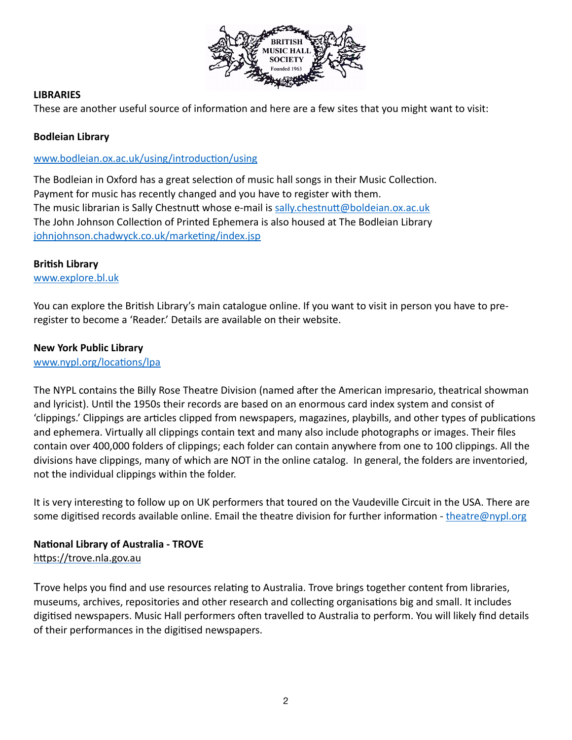

## **LIBRARIES**

These are another useful source of information and here are a few sites that you might want to visit:

# **Bodleian Library**

## www.bodleian.ox.ac.uk/using/introduction/using

The Bodleian in Oxford has a great selection of music hall songs in their Music Collection. Payment for music has recently changed and you have to register with them. The music librarian is Sally Chestnutt whose e-mail is sally.chestnutt@boldeian.ox.ac.uk The John Johnson Collection of Printed Ephemera is also housed at The Bodleian Library johnjohnson.chadwyck.co.uk/marketing/index.jsp

## **British Library**

[www.explore.bl.uk](http://www.explore.bl.uk)

You can explore the British Library's main catalogue online. If you want to visit in person you have to preregister to become a 'Reader.' Details are available on their website.

# **New York Public Library**

www.nypl.org/locations/lpa

The NYPL contains the Billy Rose Theatre Division (named after the American impresario, theatrical showman and lyricist). Until the 1950s their records are based on an enormous card index system and consist of 'clippings.' Clippings are articles clipped from newspapers, magazines, playbills, and other types of publications and ephemera. Virtually all clippings contain text and many also include photographs or images. Their files contain over 400,000 folders of clippings; each folder can contain anywhere from one to 100 clippings. All the divisions have clippings, many of which are NOT in the online catalog. In general, the folders are inventoried, not the individual clippings within the folder.

It is very interesting to follow up on UK performers that toured on the Vaudeville Circuit in the USA. There are some digitised records available online. Email the theatre division for further information - [theatre@nypl.org](mailto:theatre@nypl.org)

# **National Library of Australia - TROVE**

https://trove.nla.gov.au

Trove helps you find and use resources relating to Australia. Trove brings together content from libraries, museums, archives, repositories and other research and collecting organisations big and small. It includes digitised newspapers. Music Hall performers often travelled to Australia to perform. You will likely find details of their performances in the digitised newspapers.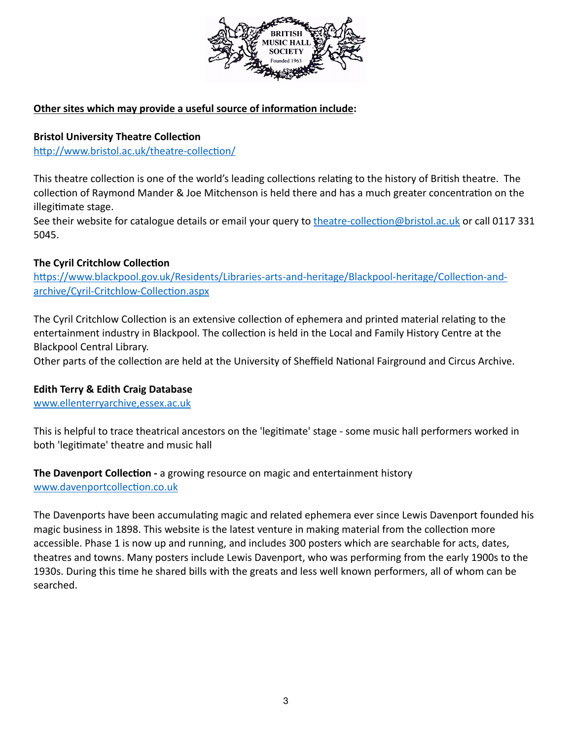

# **Other sites which may provide a useful source of information include:**

# **Bristol University Theatre Collection**

http://www.bristol.ac.uk/theatre-collection/

This theatre collection is one of the world's leading collections relating to the history of British theatre. The collection of Raymond Mander & Joe Mitchenson is held there and has a much greater concentration on the illegitimate stage.

See their website for catalogue details or email your query to theatre-collection@bristol.ac.uk or call 0117 331 5045.

## **The Cyril Critchlow Collection**

https://www.blackpool.gov.uk/Residents/Libraries-arts-and-heritage/Blackpool-heritage/Collection-andarchive/Cyril-Critchlow-Collection.aspx

The Cyril Critchlow Collection is an extensive collection of ephemera and printed material relating to the entertainment industry in Blackpool. The collection is held in the Local and Family History Centre at the Blackpool Central Library.

Other parts of the collection are held at the University of Sheffield National Fairground and Circus Archive.

# **Edith Terry & Edith Craig Database**

[www.ellenterryarchive,essex.ac.uk](http://www.ellenterryarchive,essex.ac.uk)

This is helpful to trace theatrical ancestors on the 'legitimate' stage - some music hall performers worked in both 'legitimate' theatre and music hall

**The Davenport Collection - a growing resource on magic and entertainment history** www.davenportcollection.co.uk

The Davenports have been accumulating magic and related ephemera ever since Lewis Davenport founded his magic business in 1898. This website is the latest venture in making material from the collection more accessible. Phase 1 is now up and running, and includes 300 posters which are searchable for acts, dates, theatres and towns. Many posters include Lewis Davenport, who was performing from the early 1900s to the 1930s. During this time he shared bills with the greats and less well known performers, all of whom can be searched.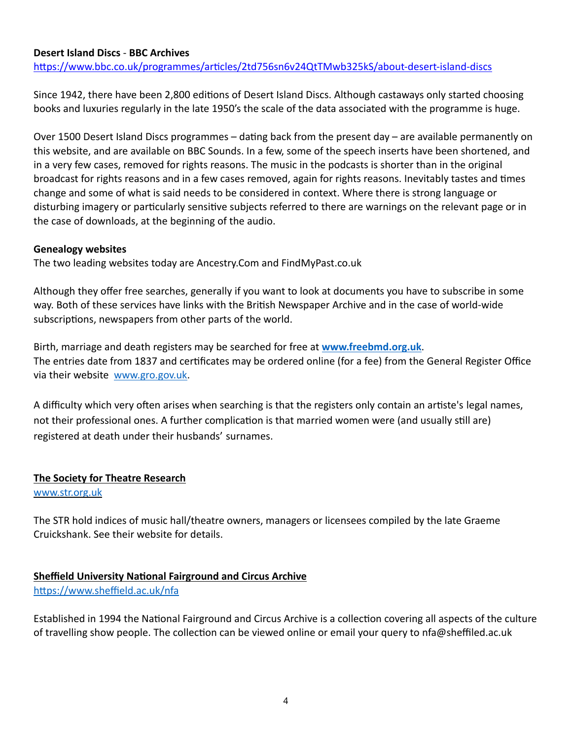#### **Desert Island Discs** - **BBC Archives**

https://www.bbc.co.uk/programmes/articles/2td756sn6v24QtTMwb325kS/about-desert-island-discs

Since 1942, there have been 2,800 editions of Desert Island Discs. Although castaways only started choosing books and luxuries regularly in the late 1950's the scale of the data associated with the programme is huge.

Over 1500 Desert Island Discs programmes – dating back from the present day – are available permanently on this website, and are available on BBC Sounds. In a few, some of the speech inserts have been shortened, and in a very few cases, removed for rights reasons. The music in the podcasts is shorter than in the original broadcast for rights reasons and in a few cases removed, again for rights reasons. Inevitably tastes and times change and some of what is said needs to be considered in context. Where there is strong language or disturbing imagery or particularly sensitive subjects referred to there are warnings on the relevant page or in the case of downloads, at the beginning of the audio.

#### **Genealogy websites**

The two leading websites today are Ancestry.Com and FindMyPast.co.uk

Although they offer free searches, generally if you want to look at documents you have to subscribe in some way. Both of these services have links with the British Newspaper Archive and in the case of world-wide subscriptions, newspapers from other parts of the world.

Birth, marriage and death registers may be searched for free at **[www.freebmd.org.uk](http://www.freebmd.org.uk)**. The entries date from 1837 and certificates may be ordered online (for a fee) from the General Register Office via their website [www.gro.gov.uk](http://www.gro.gov.uk).

A difficulty which very often arises when searching is that the registers only contain an artiste's legal names, not their professional ones. A further complication is that married women were (and usually still are) registered at death under their husbands' surnames.

## **The Society for Theatre Research**

[www.str.org.uk](http://www.str.org.uk)

The STR hold indices of music hall/theatre owners, managers or licensees compiled by the late Graeme Cruickshank. See their website for details.

## **Sheffield University National Fairground and Circus Archive**

https://www.sheffield.ac.uk/nfa

Established in 1994 the National Fairground and Circus Archive is a collection covering all aspects of the culture of travelling show people. The collection can be viewed online or email your query to nfa@sheffiled.ac.uk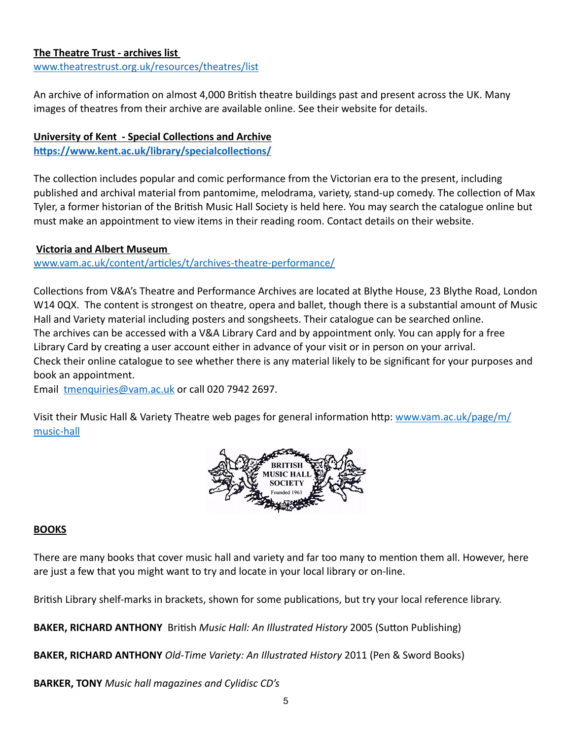## **The Theatre Trust - archives list**

[www.theatrestrust.org.uk/resources/theatres/list](http://www.theatrestrust.org.uk/resources/theatres/list)

An archive of information on almost 4,000 British theatre buildings past and present across the UK. Many images of theatres from their archive are available online. See their website for details.

# **University of Kent - Special Collections and Archive**

https://www.kent.ac.uk/library/specialcollections/

The collection includes popular and comic performance from the Victorian era to the present, including published and archival material from pantomime, melodrama, variety, stand-up comedy. The collection of Max Tyler, a former historian of the British Music Hall Society is held here. You may search the catalogue online but must make an appointment to view items in their reading room. Contact details on their website.

# **Victoria and Albert Museum**

www.vam.ac.uk/content/articles/t/archives-theatre-performance/

Collections from V&A's Theatre and Performance Archives are located at Blythe House, 23 Blythe Road, London W14 0QX. The content is strongest on theatre, opera and ballet, though there is a substantial amount of Music Hall and Variety material including posters and songsheets. Their catalogue can be searched online. The archives can be accessed with a V&A Library Card and by appointment only. You can apply for a free Library Card by creating a user account either in advance of your visit or in person on your arrival. Check their online catalogue to see whether there is any material likely to be significant for your purposes and book an appointment.

Email [tmenquiries@vam.ac.uk](mailto:tmenquiries@vam.ac.uk) or call 020 7942 2697.

Visit their Music Hall & Variety Theatre web pages for general information http: [www.vam.ac.uk/page/m/](http://www.vam.ac.uk/page/m/music-hall) [music-hall](http://www.vam.ac.uk/page/m/music-hall)



# **BOOKS**

There are many books that cover music hall and variety and far too many to mention them all. However, here are just a few that you might want to try and locate in your local library or on-line.

British Library shelf-marks in brackets, shown for some publications, but try your local reference library.

**BAKER, RICHARD ANTHONY** British *Music Hall: An Illustrated History* 2005 (Sutton Publishing)

**BAKER, RICHARD ANTHONY** *Old-Time Variety: An Illustrated History* 2011 (Pen & Sword Books)

**BARKER, TONY** *Music hall magazines and Cylidisc CD's*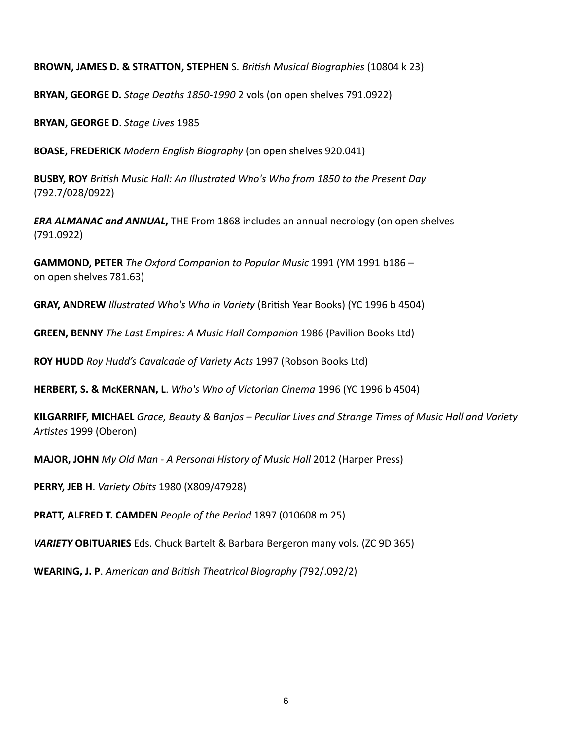**BROWN, JAMES D. & STRATTON, STEPHEN** S. *British Musical Biographies* (10804 k 23)

**BRYAN, GEORGE D.** *Stage Deaths 1850-1990* 2 vols (on open shelves 791.0922)

**BRYAN, GEORGE D**. *Stage Lives* 1985

**BOASE, FREDERICK** *Modern English Biography* (on open shelves 920.041)

**BUSBY, ROY** *British Music Hall: An Illustrated Who's Who from 1850 to the Present Day* (792.7/028/0922)

*ERA ALMANAC and ANNUAL***,** THE From 1868 includes an annual necrology (on open shelves (791.0922)

**GAMMOND, PETER** *The Oxford Companion to Popular Music* 1991 (YM 1991 b186 – on open shelves 781.63)

**GRAY, ANDREW** *Illustrated Who's Who in Variety* (British Year Books) (YC 1996 b 4504)

**GREEN, BENNY** *The Last Empires: A Music Hall Companion* 1986 (Pavilion Books Ltd)

**ROY HUDD** *Roy Hudd's Cavalcade of Variety Acts* 1997 (Robson Books Ltd)

**HERBERT, S. & McKERNAN, L**. *Who's Who of Victorian Cinema* 1996 (YC 1996 b 4504)

**KILGARRIFF, MICHAEL** *Grace, Beauty & Banjos – Peculiar Lives and Strange Times of Music Hall and Variety*  Artistes 1999 (Oberon)

**MAJOR, JOHN** *My Old Man - A Personal History of Music Hall* 2012 (Harper Press)

**PERRY, JEB H**. *Variety Obits* 1980 (X809/47928)

**PRATT, ALFRED T. CAMDEN** *People of the Period* 1897 (010608 m 25)

*VARIETY* **OBITUARIES** Eds. Chuck Bartelt & Barbara Bergeron many vols. (ZC 9D 365)

**WEARING, J. P.** *American and British Theatrical Biography (792/.092/2)*